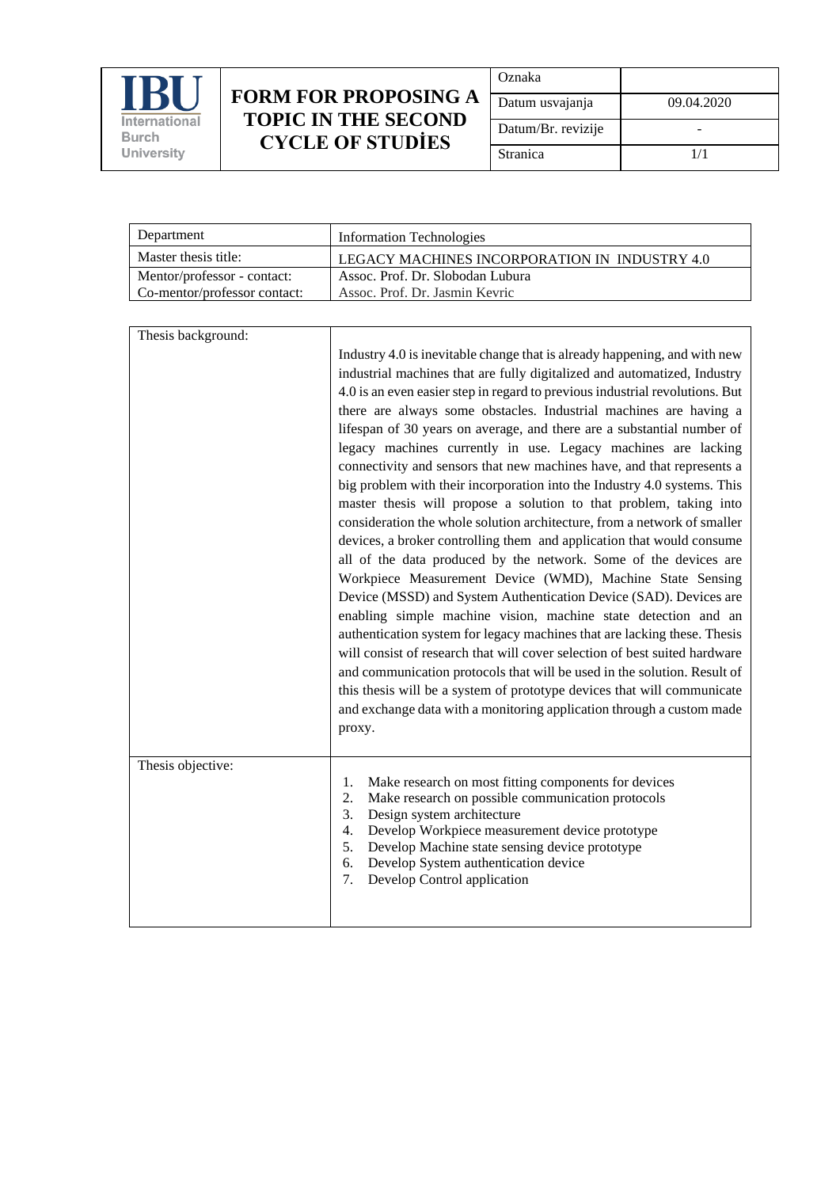

## **FORM FOR PROPOSING A TOPIC IN THE SECOND CYCLE OF STUDİES**

| Oznaka             |            |
|--------------------|------------|
| Datum usvajanja    | 09.04.2020 |
| Datum/Br. revizije |            |
| Stranica           | 1/1        |

| Department                   | <b>Information Technologies</b>               |
|------------------------------|-----------------------------------------------|
| Master thesis title:         | LEGACY MACHINES INCORPORATION IN INDUSTRY 4.0 |
| Mentor/professor - contact:  | Assoc. Prof. Dr. Slobodan Lubura              |
| Co-mentor/professor contact: | Assoc. Prof. Dr. Jasmin Kevric                |
|                              |                                               |

| Thesis background: |                                                                                                                                                                                                                                                                                                                                                                                                                                                                                                                                                                                                                                                                                                                                                                                                                                                                                                                                                                                                                                                                                                                                                                                                                                                                                                                                                                                                                                                                                                                    |
|--------------------|--------------------------------------------------------------------------------------------------------------------------------------------------------------------------------------------------------------------------------------------------------------------------------------------------------------------------------------------------------------------------------------------------------------------------------------------------------------------------------------------------------------------------------------------------------------------------------------------------------------------------------------------------------------------------------------------------------------------------------------------------------------------------------------------------------------------------------------------------------------------------------------------------------------------------------------------------------------------------------------------------------------------------------------------------------------------------------------------------------------------------------------------------------------------------------------------------------------------------------------------------------------------------------------------------------------------------------------------------------------------------------------------------------------------------------------------------------------------------------------------------------------------|
|                    | Industry 4.0 is inevitable change that is already happening, and with new<br>industrial machines that are fully digitalized and automatized, Industry<br>4.0 is an even easier step in regard to previous industrial revolutions. But<br>there are always some obstacles. Industrial machines are having a<br>lifespan of 30 years on average, and there are a substantial number of<br>legacy machines currently in use. Legacy machines are lacking<br>connectivity and sensors that new machines have, and that represents a<br>big problem with their incorporation into the Industry 4.0 systems. This<br>master thesis will propose a solution to that problem, taking into<br>consideration the whole solution architecture, from a network of smaller<br>devices, a broker controlling them and application that would consume<br>all of the data produced by the network. Some of the devices are<br>Workpiece Measurement Device (WMD), Machine State Sensing<br>Device (MSSD) and System Authentication Device (SAD). Devices are<br>enabling simple machine vision, machine state detection and an<br>authentication system for legacy machines that are lacking these. Thesis<br>will consist of research that will cover selection of best suited hardware<br>and communication protocols that will be used in the solution. Result of<br>this thesis will be a system of prototype devices that will communicate<br>and exchange data with a monitoring application through a custom made<br>proxy. |
| Thesis objective:  | Make research on most fitting components for devices<br>1.<br>2.<br>Make research on possible communication protocols<br>3.<br>Design system architecture<br>4.<br>Develop Workpiece measurement device prototype<br>5.<br>Develop Machine state sensing device prototype<br>Develop System authentication device<br>6.<br>Develop Control application<br>7.                                                                                                                                                                                                                                                                                                                                                                                                                                                                                                                                                                                                                                                                                                                                                                                                                                                                                                                                                                                                                                                                                                                                                       |